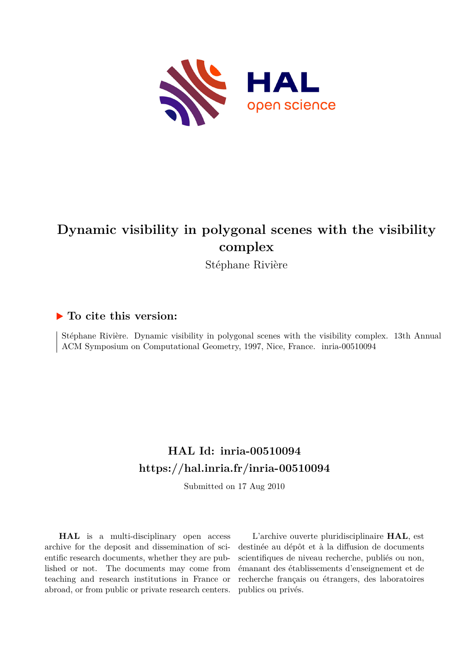

# **Dynamic visibility in polygonal scenes with the visibility complex**

Stéphane Rivière

## **To cite this version:**

Stéphane Rivière. Dynamic visibility in polygonal scenes with the visibility complex. 13th Annual ACM Symposium on Computational Geometry, 1997, Nice, France. inria-00510094

## **HAL Id: inria-00510094 <https://hal.inria.fr/inria-00510094>**

Submitted on 17 Aug 2010

**HAL** is a multi-disciplinary open access archive for the deposit and dissemination of scientific research documents, whether they are published or not. The documents may come from teaching and research institutions in France or abroad, or from public or private research centers.

L'archive ouverte pluridisciplinaire **HAL**, est destinée au dépôt et à la diffusion de documents scientifiques de niveau recherche, publiés ou non, émanant des établissements d'enseignement et de recherche français ou étrangers, des laboratoires publics ou privés.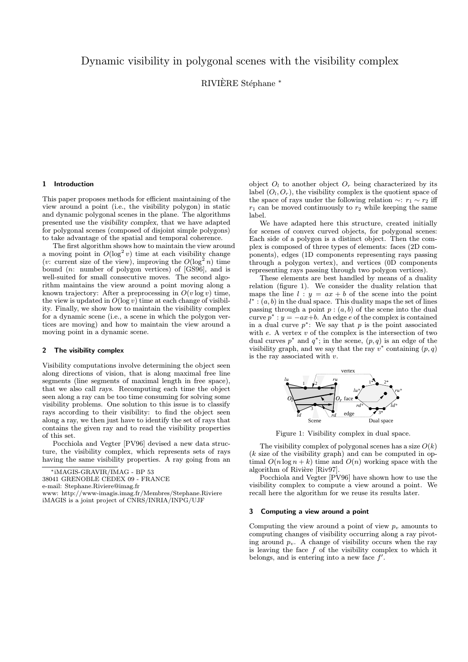### Dynamic visibility in polygonal scenes with the visibility complex

RIVIÈRE Stéphane \*

#### 1 Introduction

This paper proposes methods for efficient maintaining of the view around a point (i.e., the visibility polygon) in static and dynamic polygonal scenes in the plane. The algorithms presented use the visibility complex, that we have adapted for polygonal scenes (composed of disjoint simple polygons) to take advantage of the spatial and temporal coherence.

The first algorithm shows how to maintain the view around a moving point in  $O(\log^2 v)$  time at each visibility change (v: current size of the view), improving the  $O(\log^2 n)$  time bound (n: number of polygon vertices) of [GS96], and is well-suited for small consecutive moves. The second algorithm maintains the view around a point moving along a known trajectory: After a preprocessing in  $O(v \log v)$  time, the view is updated in  $O(\log v)$  time at each change of visibility. Finally, we show how to maintain the visibility complex for a dynamic scene (i.e., a scene in which the polygon vertices are moving) and how to maintain the view around a moving point in a dynamic scene.

#### 2 The visibility complex

Visibility computations involve determining the object seen along directions of vision, that is along maximal free line segments (line segments of maximal length in free space), that we also call rays. Recomputing each time the object seen along a ray can be too time consuming for solving some visibility problems. One solution to this issue is to classify rays according to their visibility: to find the object seen along a ray, we then just have to identify the set of rays that contains the given ray and to read the visibility properties of this set.

Pocchiola and Vegter [PV96] devised a new data structure, the visibility complex, which represents sets of rays having the same visibility properties. A ray going from an

∗ iMAGIS-GRAVIR/IMAG - BP 53

38041 GRENOBLE CEDEX 09 - FRANCE

e-mail: Stephane.Riviere@imag.fr

www: http://www-imagis.imag.fr/Membres/Stephane.Riviere iMAGIS is a joint project of CNRS/INRIA/INPG/UJF

object  $O_l$  to another object  $O_r$  being characterized by its label  $(O_l, O_r)$ , the visibility complex is the quotient space of the space of rays under the following relation  $\sim$ :  $r_1 \sim r_2$  iff  $r_1$  can be moved continuously to  $r_2$  while keeping the same label.

We have adapted here this structure, created initially for scenes of convex curved objects, for polygonal scenes: Each side of a polygon is a distinct object. Then the complex is composed of three types of elements: faces (2D components), edges (1D components representing rays passing through a polygon vertex), and vertices (0D components representing rays passing through two polygon vertices).

These elements are best handled by means of a duality relation (figure 1). We consider the duality relation that maps the line  $l : y = ax + b$  of the scene into the point  $l^* : (a, b)$  in the dual space. This duality maps the set of lines passing through a point  $p:(a, b)$  of the scene into the dual curve  $p^*$  :  $y = -ax+b$ . An edge e of the complex is contained in a dual curve  $p^*$ : We say that p is the point associated with  $e$ . A vertex  $v$  of the complex is the intersection of two dual curves  $p^*$  and  $q^*$ ; in the scene,  $(p, q)$  is an edge of the visibility graph, and we say that the ray  $v^*$  containing  $(p, q)$ is the ray associated with  $v$ .



Figure 1: Visibility complex in dual space.

The visibility complex of polygonal scenes has a size  $O(k)$  $(k$  size of the visibility graph) and can be computed in optimal  $O(n \log n + k)$  time and  $O(n)$  working space with the algorithm of Rivière [Riv97].

Pocchiola and Vegter [PV96] have shown how to use the visibility complex to compute a view around a point. We recall here the algorithm for we reuse its results later.

#### 3 Computing a view around a point

Computing the view around a point of view  $p_v$  amounts to computing changes of visibility occurring along a ray pivoting around  $p_v$ . A change of visibility occurs when the ray is leaving the face  $f$  of the visibility complex to which it belongs, and is entering into a new face  $f'$ .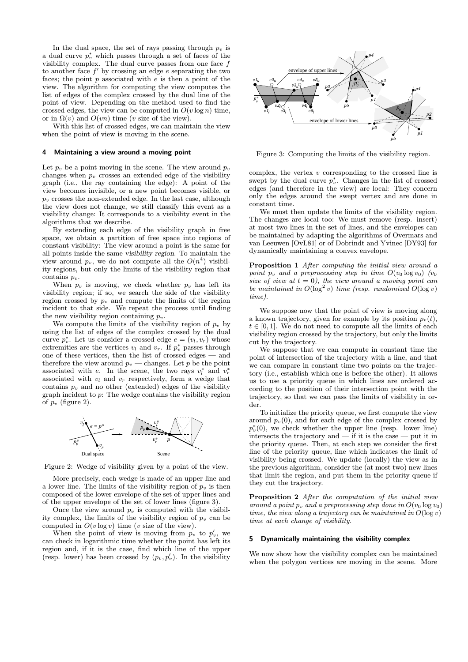In the dual space, the set of rays passing through  $p_v$  is a dual curve  $p_v^*$  which passes through a set of faces of the visibility complex. The dual curve passes from one face  $f$ to another face  $f'$  by crossing an edge e separating the two faces; the point  $p$  associated with  $e$  is then a point of the view. The algorithm for computing the view computes the list of edges of the complex crossed by the dual line of the point of view. Depending on the method used to find the crossed edges, the view can be computed in  $O(v \log n)$  time, or in  $\Omega(v)$  and  $O(vn)$  time (v size of the view).

With this list of crossed edges, we can maintain the view when the point of view is moving in the scene.

#### 4 Maintaining a view around a moving point

Let  $p_v$  be a point moving in the scene. The view around  $p_v$ changes when  $p_v$  crosses an extended edge of the visibility graph (i.e., the ray containing the edge): A point of the view becomes invisible, or a new point becomes visible, or  $p_v$  crosses the non-extended edge. In the last case, although the view does not change, we still classify this event as a visibility change: It corresponds to a visibility event in the algorithms that we describe.

By extending each edge of the visibility graph in free space, we obtain a partition of free space into regions of constant visibility: The view around a point is the same for all points inside the same visibility region. To maintain the view around  $p_v$ , we do not compute all the  $O(n^4)$  visibility regions, but only the limits of the visibility region that contains  $p_v$ .

When  $p_v$  is moving, we check whether  $p_v$  has left its visibility region; if so, we search the side of the visibility region crossed by  $p_v$  and compute the limits of the region incident to that side. We repeat the process until finding the new visibility region containing  $p_v$ .

We compute the limits of the visibility region of  $p_v$  by using the list of edges of the complex crossed by the dual curve  $p_v^*$ . Let us consider a crossed edge  $e = (v_l, v_r)$  whose extremities are the vertices  $v_l$  and  $v_r$ . If  $p_v^*$  passes through one of these vertices, then the list of crossed edges — and therefore the view around  $p_v$  — changes. Let p be the point associated with e. In the scene, the two rays  $v_l^*$  and  $v_r^*$ associated with  $v_l$  and  $v_r$  respectively, form a wedge that contains  $p_v$  and no other (extended) edges of the visibility graph incident to p: The wedge contains the visibility region of  $p_v$  (figure 2).



Figure 2: Wedge of visibility given by a point of the view.

More precisely, each wedge is made of an upper line and a lower line. The limits of the visibility region of  $p_v$  is then composed of the lower envelope of the set of upper lines and of the upper envelope of the set of lower lines (figure 3).

Once the view around  $p_v$  is computed with the visibility complex, the limits of the visibility region of  $p_v$  can be computed in  $O(v \log v)$  time (*v* size of the view).

When the point of view is moving from  $p_v$  to  $p'_v$ , we can check in logarithmic time whether the point has left its region and, if it is the case, find which line of the upper (resp. lower) has been crossed by  $(p_v, p'_v)$ . In the visibility



Figure 3: Computing the limits of the visibility region.

complex, the vertex  $v$  corresponding to the crossed line is swept by the dual curve  $p_v^*$ . Changes in the list of crossed edges (and therefore in the view) are local: They concern only the edges around the swept vertex and are done in constant time.

We must then update the limits of the visibility region. The changes are local too: We must remove (resp. insert) at most two lines in the set of lines, and the envelopes can be maintained by adapting the algorithms of Overmars and van Leeuwen [OvL81] or of Dobrindt and Yvinec [DY93] for dynamically maintaining a convex envelope.

Proposition 1 After computing the initial view around a point  $p_v$  and a preprocessing step in time  $O(v_0 \log v_0)$  (v<sub>0</sub> size of view at  $t = 0$ ), the view around a moving point can be maintained in  $O(\log^2 v)$  time (resp. randomized  $O(\log v)$ time).

We suppose now that the point of view is moving along a known trajectory, given for example by its position  $p_v(t)$ ,  $t \in [0, 1]$ . We do not need to compute all the limits of each visibility region crossed by the trajectory, but only the limits cut by the trajectory.

We suppose that we can compute in constant time the point of intersection of the trajectory with a line, and that we can compare in constant time two points on the trajectory (i.e., establish which one is before the other). It allows us to use a priority queue in which lines are ordered according to the position of their intersection point with the trajectory, so that we can pass the limits of visibility in order.

To initialize the priority queue, we first compute the view around  $p_v(0)$ , and for each edge of the complex crossed by  $p_v^*(0)$ , we check whether the upper line (resp. lower line) intersects the trajectory and — if it is the case — put it in the priority queue. Then, at each step we consider the first line of the priority queue, line which indicates the limit of visibility being crossed. We update (locally) the view as in the previous algorithm, consider the (at most two) new lines that limit the region, and put them in the priority queue if they cut the trajectory.

Proposition 2 After the computation of the initial view around a point  $p_v$  and a preprocessing step done in  $O(v_0 \log v_0)$ time, the view along a trajectory can be maintained in  $O(\log v)$ time at each change of visibility.

#### 5 Dynamically maintaining the visibility complex

We now show how the visibility complex can be maintained when the polygon vertices are moving in the scene. More